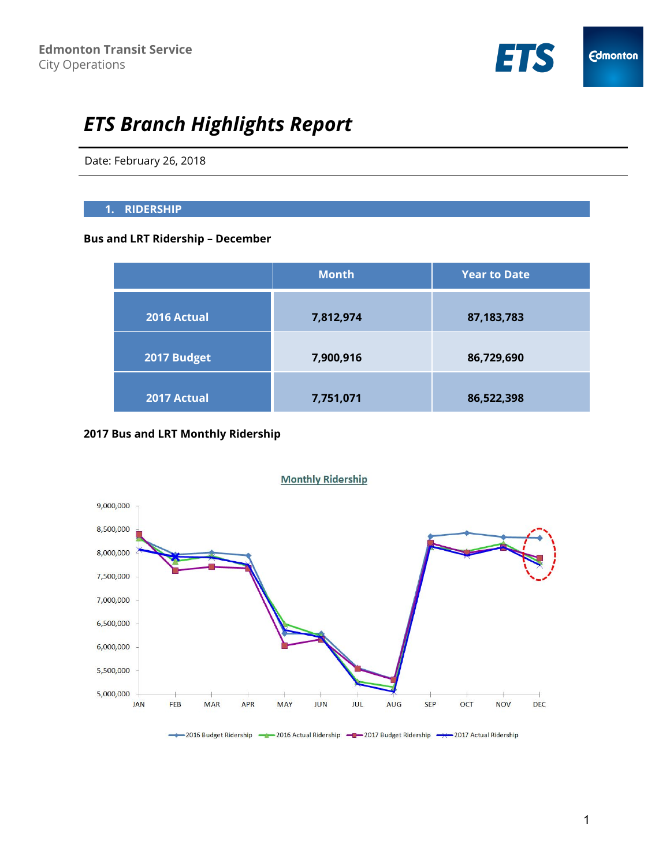

# *ETS Branch Highlights Report*

Date: February 26, 2018

#### **1. RIDERSHIP**

# **Bus and LRT Ridership – December**

|             | <b>Month</b> | <b>Year to Date</b> |
|-------------|--------------|---------------------|
| 2016 Actual | 7,812,974    | 87,183,783          |
| 2017 Budget | 7,900,916    | 86,729,690          |
| 2017 Actual | 7,751,071    | 86,522,398          |

## **2017 Bus and LRT Monthly Ridership**



1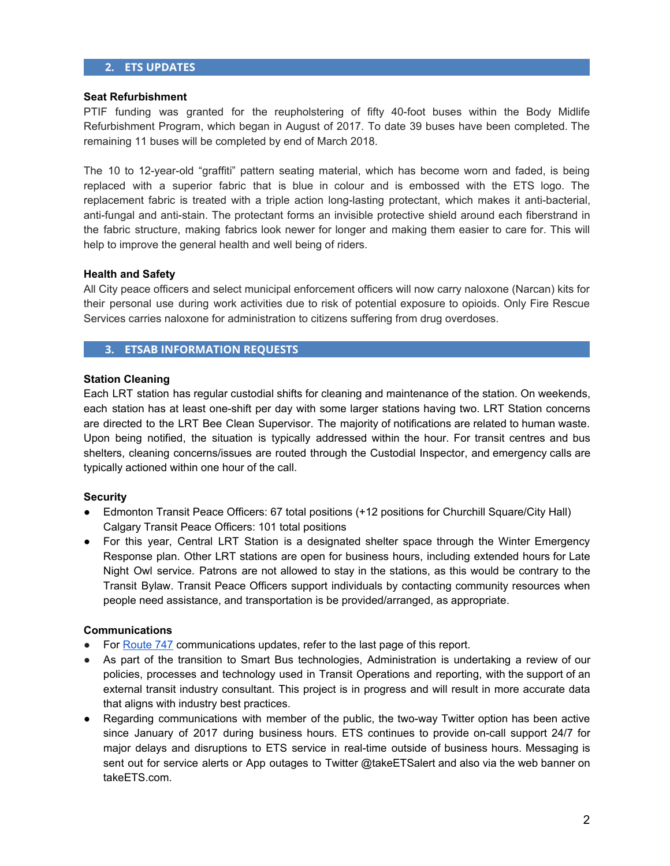#### **2. ETS UPDATES**

#### **Seat Refurbishment**

PTIF funding was granted for the reupholstering of fifty 40-foot buses within the Body Midlife Refurbishment Program, which began in August of 2017. To date 39 buses have been completed. The remaining 11 buses will be completed by end of March 2018.

The 10 to 12-year-old "graffiti" pattern seating material, which has become worn and faded, is being replaced with a superior fabric that is blue in colour and is embossed with the ETS logo. The replacement fabric is treated with a triple action long-lasting protectant, which makes it anti-bacterial, anti-fungal and anti-stain. The protectant forms an invisible protective shield around each fiberstrand in the fabric structure, making fabrics look newer for longer and making them easier to care for. This will help to improve the general health and well being of riders.

#### **Health and Safety**

All City peace officers and select municipal enforcement officers will now carry naloxone (Narcan) kits for their personal use during work activities due to risk of potential exposure to opioids. Only Fire Rescue Services carries naloxone for administration to citizens suffering from drug overdoses.

## **3. ETSAB INFORMATION REQUESTS**

#### **Station Cleaning**

Each LRT station has regular custodial shifts for cleaning and maintenance of the station. On weekends, each station has at least one-shift per day with some larger stations having two. LRT Station concerns are directed to the LRT Bee Clean Supervisor. The majority of notifications are related to human waste. Upon being notified, the situation is typically addressed within the hour. For transit centres and bus shelters, cleaning concerns/issues are routed through the Custodial Inspector, and emergency calls are typically actioned within one hour of the call.

#### **Security**

- Edmonton Transit Peace Officers: 67 total positions (+12 positions for Churchill Square/City Hall) Calgary Transit Peace Officers: 101 total positions
- For this year, Central LRT Station is a designated shelter space through the Winter Emergency Response plan. Other LRT stations are open for business hours, including extended hours for Late Night Owl service. Patrons are not allowed to stay in the stations, as this would be contrary to the Transit Bylaw. Transit Peace Officers support individuals by contacting community resources when people need assistance, and transportation is be provided/arranged, as appropriate.

#### **Communications**

- <span id="page-1-0"></span>● For [Route](https://www.edmonton.ca/ets/edmonton-international-airport.aspx) 747 communications updates, refer to the last page of this report.
- As part of the transition to Smart Bus technologies, Administration is undertaking a review of our policies, processes and technology used in Transit Operations and reporting, with the support of an external transit industry consultant. This project is in progress and will result in more accurate data that aligns with industry best practices.
- Regarding communications with member of the public, the two-way Twitter option has been active since January of 2017 during business hours. ETS continues to provide on-call support 24/7 for major delays and disruptions to ETS service in real-time outside of business hours. Messaging is sent out for service alerts or App outages to Twitter @takeETSalert and also via the web banner on takeETS.com.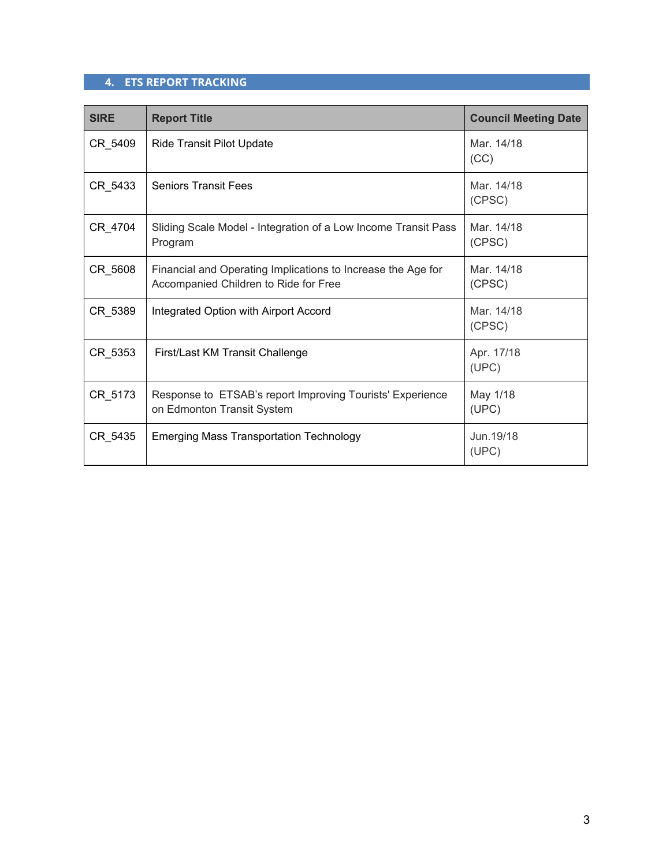# **4. ETS REPORT TRACKING**

| <b>SIRE</b> | <b>Report Title</b>                                                                                   | <b>Council Meeting Date</b> |
|-------------|-------------------------------------------------------------------------------------------------------|-----------------------------|
| CR 5409     | Ride Transit Pilot Update                                                                             | Mar. 14/18<br>(CC)          |
| CR 5433     | <b>Seniors Transit Fees</b>                                                                           | Mar. 14/18<br>(CPSC)        |
| CR 4704     | Sliding Scale Model - Integration of a Low Income Transit Pass<br>Program                             | Mar. 14/18<br>(CPSC)        |
| CR_5608     | Financial and Operating Implications to Increase the Age for<br>Accompanied Children to Ride for Free | Mar. 14/18<br>(CPSC)        |
| CR_5389     | Integrated Option with Airport Accord                                                                 | Mar. 14/18<br>(CPSC)        |
| CR 5353     | First/Last KM Transit Challenge                                                                       | Apr. 17/18<br>(UPC)         |
| CR_5173     | Response to ETSAB's report Improving Tourists' Experience<br>on Edmonton Transit System               | May 1/18<br>(UPC)           |
| CR_5435     | <b>Emerging Mass Transportation Technology</b>                                                        | Jun. 19/18<br>(UPC)         |